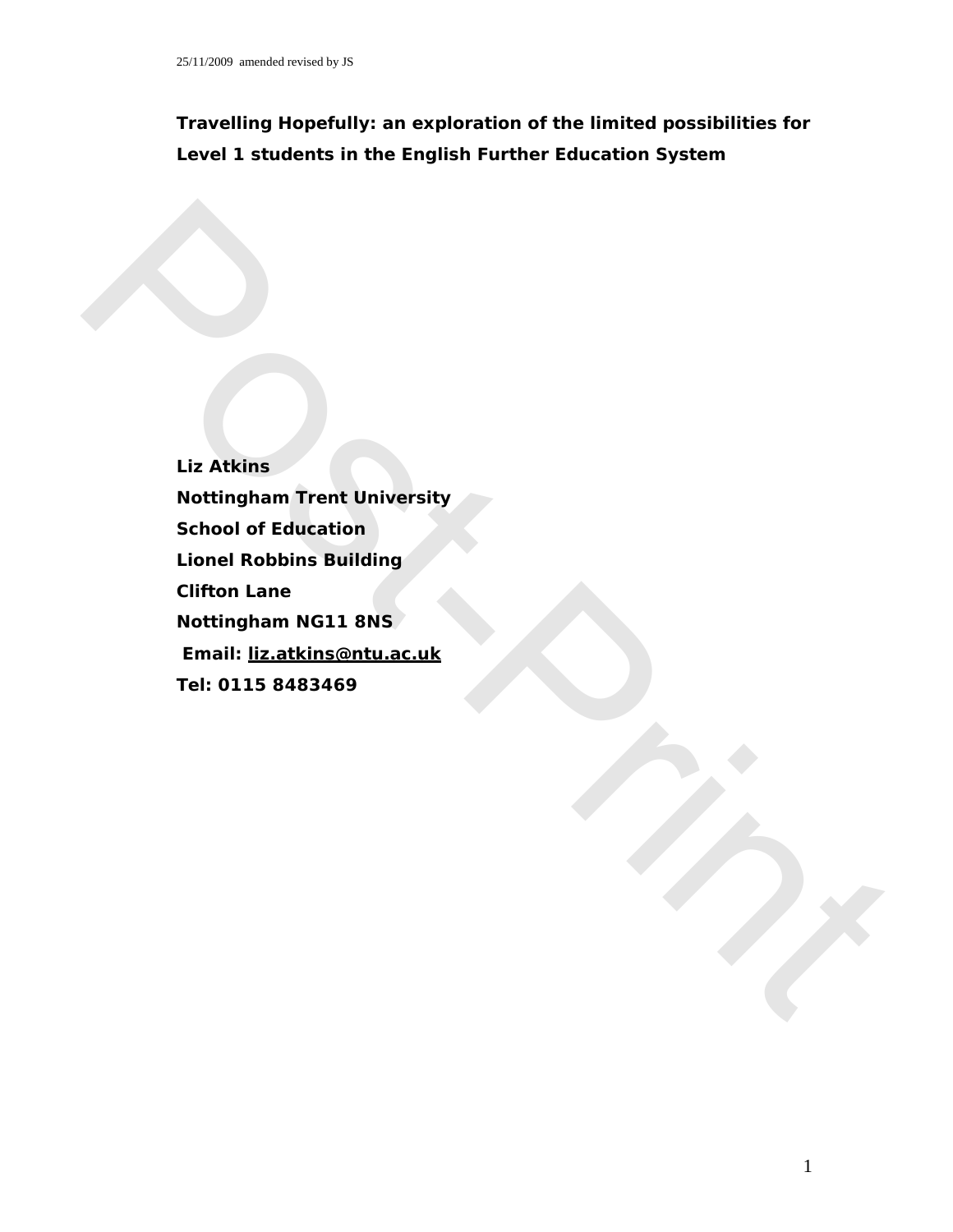**Travelling Hopefully: an exploration of the limited possibilities for Level 1 students in the English Further Education System** 

**Liz Atkins Nottingham Trent University School of Education Lionel Robbins Building Clifton Lane Nottingham NG11 8NS Email: liz.atkins@ntu.ac.uk Tel: 0115 8483469**  Liz Atkins<br>
Nottingham Trent University<br>
School of Education<br>
Lionel Robbins Building<br>
Ciliton Lane<br>
Nottingham NG11 BNS<br>
Email: <u>|Lizatkins@ntu.ac.uk</u><br>
Tel: 0115 B483469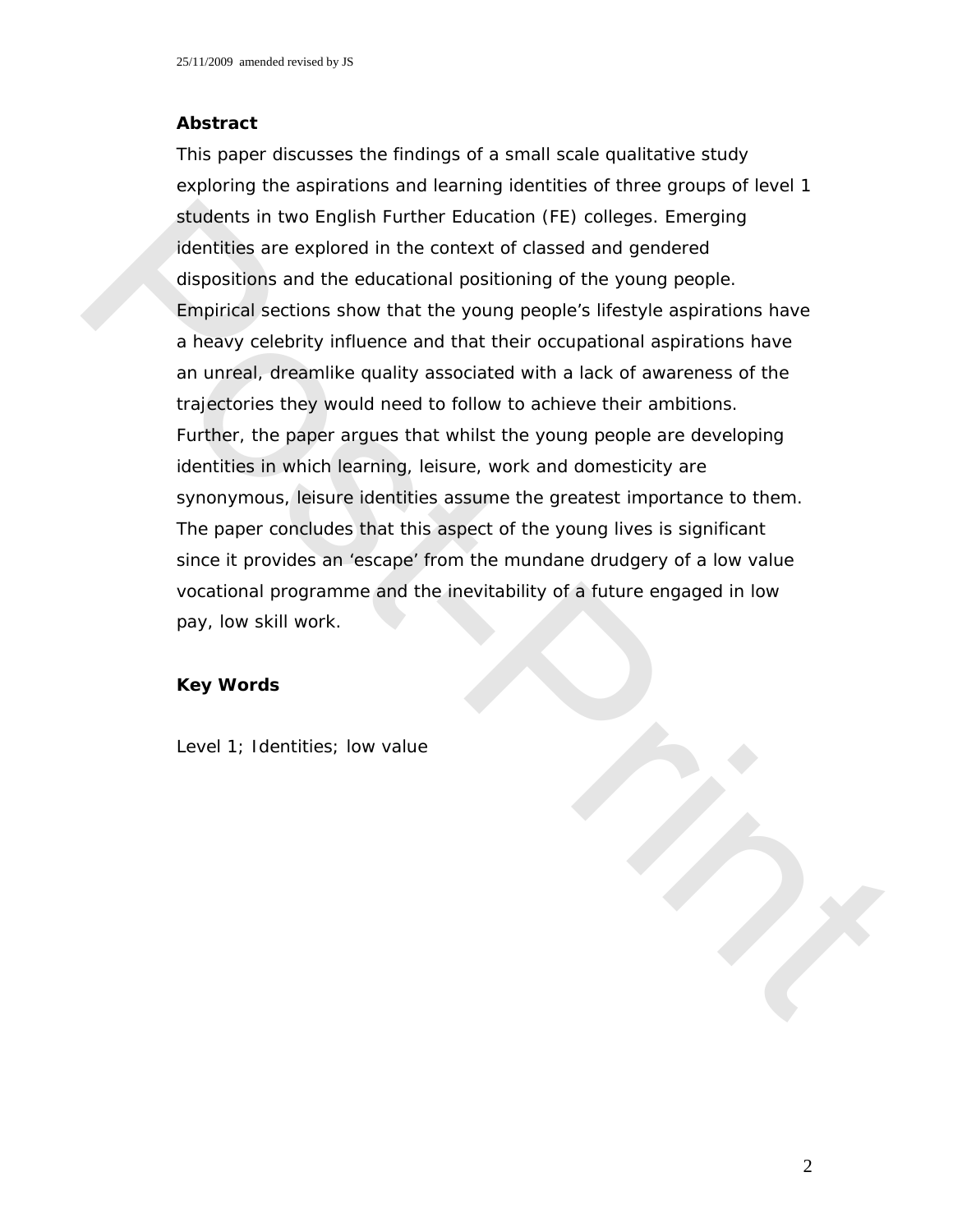#### **Abstract**

This paper discusses the findings of a small scale qualitative study exploring the aspirations and learning identities of three groups of level 1 students in two English Further Education (FE) colleges. Emerging identities are explored in the context of classed and gendered dispositions and the educational positioning of the young people. Empirical sections show that the young people's lifestyle aspirations have a heavy celebrity influence and that their occupational aspirations have an unreal, dreamlike quality associated with a lack of awareness of the trajectories they would need to follow to achieve their ambitions. Further, the paper argues that whilst the young people are developing identities in which learning, leisure, work and domesticity are synonymous, leisure identities assume the greatest importance to them. The paper concludes that this aspect of the young lives is significant since it provides an 'escape' from the mundane drudgery of a low value vocational programme and the inevitability of a future engaged in low pay, low skill work. students in two English Further Education (FE) colleges. Emerging<br>
identities are explored in the context of classed and gendered<br>
dispositions and the educational positioning of the young people.<br>
Empirical sections show

## **Key Words**

Level 1; Identities; low value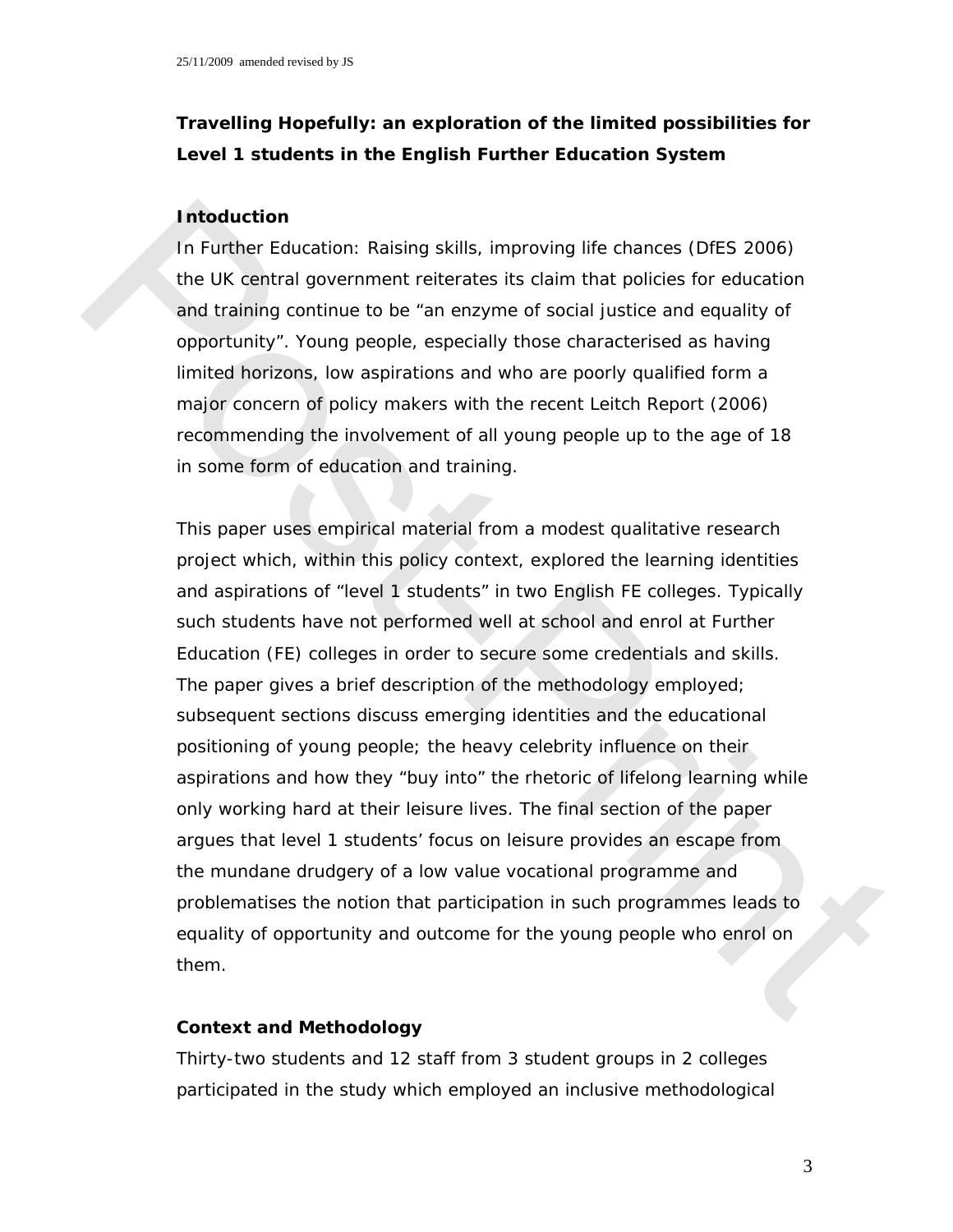# **Travelling Hopefully: an exploration of the limited possibilities for Level 1 students in the English Further Education System**

# **Intoduction**

In *Further Education: Raising skills, improving life chances* (DfES 2006) the UK central government reiterates its claim that policies for education and training continue to be "an enzyme of social justice and equality of opportunity". Young people, especially those characterised as having limited horizons, low aspirations and who are poorly qualified form a major concern of policy makers with the recent Leitch Report (2006) recommending the involvement of all young people up to the age of 18 in some form of education and training.

This paper uses empirical material from a modest qualitative research project which, within this policy context, explored the learning identities and aspirations of "level 1 students" in two English FE colleges. Typically such students have not performed well at school and enrol at Further Education (FE) colleges in order to secure some credentials and skills. The paper gives a brief description of the methodology employed; subsequent sections discuss emerging identities and the educational positioning of young people; the heavy celebrity influence on their aspirations and how they "buy into" the rhetoric of lifelong learning while only working hard at their leisure lives. The final section of the paper argues that level 1 students' focus on leisure provides an escape from the mundane drudgery of a low value vocational programme and problematises the notion that participation in such programmes leads to equality of opportunity and outcome for the young people who enrol on them. Intoduction<br>
In Caribbor Education: Raising skills, improving life chances (DHS 2006)<br>
the UK central government relierates its claim that policies for education<br>
and training continue to be "an enzyme of social justice an

## **Context and Methodology**

Thirty-two students and 12 staff from 3 student groups in 2 colleges participated in the study which employed an inclusive methodological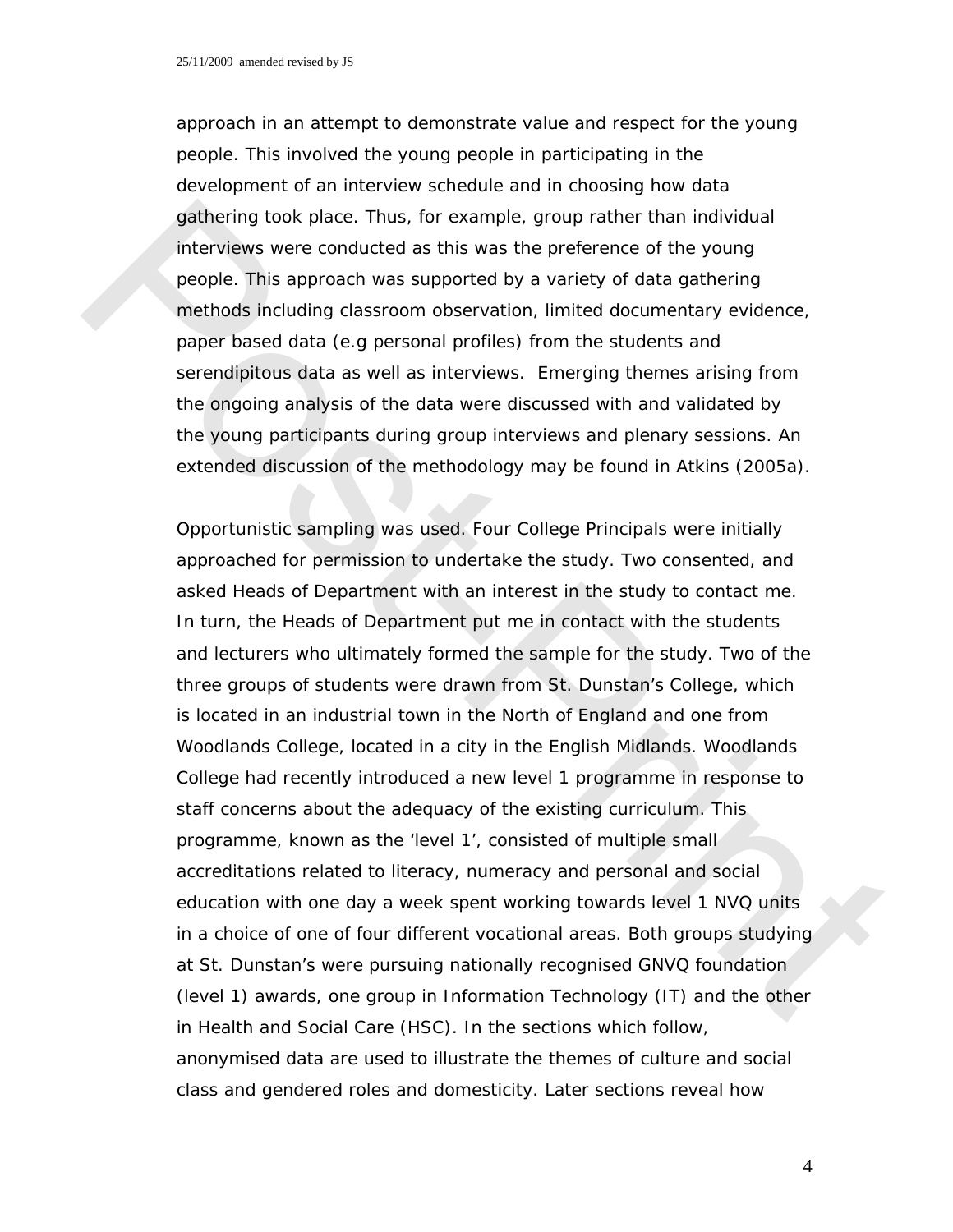approach in an attempt to demonstrate value and respect for the young people. This involved the young people in participating in the development of an interview schedule and in choosing how data gathering took place. Thus, for example, group rather than individual interviews were conducted as this was the preference of the young people. This approach was supported by a variety of data gathering methods including classroom observation, limited documentary evidence, paper based data (e.g personal profiles) from the students and serendipitous data as well as interviews. Emerging themes arising from the ongoing analysis of the data were discussed with and validated by the young participants during group interviews and plenary sessions. An extended discussion of the methodology may be found in Atkins (2005a).

Opportunistic sampling was used. Four College Principals were initially approached for permission to undertake the study. Two consented, and asked Heads of Department with an interest in the study to contact me. In turn, the Heads of Department put me in contact with the students and lecturers who ultimately formed the sample for the study. Two of the three groups of students were drawn from St. Dunstan's College, which is located in an industrial town in the North of England and one from Woodlands College, located in a city in the English Midlands. Woodlands College had recently introduced a new level 1 programme in response to staff concerns about the adequacy of the existing curriculum. This programme, known as the 'level 1', consisted of multiple small accreditations related to literacy, numeracy and personal and social education with one day a week spent working towards level 1 NVQ units in a choice of one of four different vocational areas. Both groups studying at St. Dunstan's were pursuing nationally recognised GNVQ foundation (level 1) awards, one group in Information Technology (IT) and the other in Health and Social Care (HSC). In the sections which follow, anonymised data are used to illustrate the themes of culture and social class and gendered roles and domesticity. Later sections reveal how gathering took place. Thus, for example, group rather than individual<br>interviews were conducted as this was the preference of the young<br>people. This approach was supported by a variety of data gathering<br>methods including c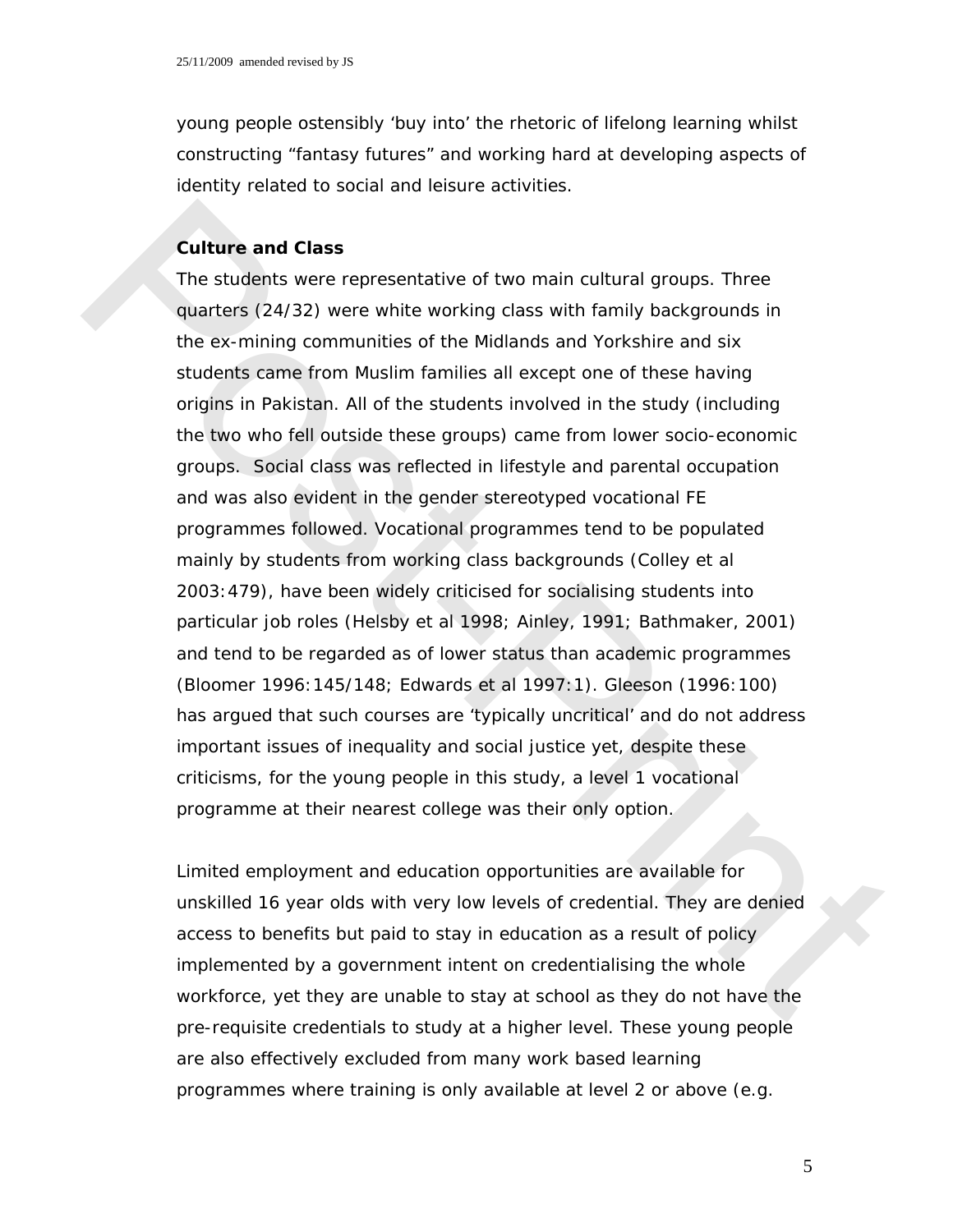young people ostensibly 'buy into' the rhetoric of lifelong learning whilst constructing "fantasy futures" and working hard at developing aspects of identity related to social and leisure activities.

## **Culture and Class**

The students were representative of two main cultural groups. Three quarters (24/32) were white working class with family backgrounds in the ex-mining communities of the Midlands and Yorkshire and six students came from Muslim families all except one of these having origins in Pakistan. All of the students involved in the study (including the two who fell outside these groups) came from lower socio-economic groups. Social class was reflected in lifestyle and parental occupation and was also evident in the gender stereotyped vocational FE programmes followed. Vocational programmes tend to be populated mainly by students from working class backgrounds (Colley et al 2003:479), have been widely criticised for socialising students into particular job roles (Helsby et al 1998; Ainley, 1991; Bathmaker, 2001) and tend to be regarded as of lower status than academic programmes (Bloomer 1996:145/148; Edwards et al 1997:1). Gleeson (1996:100) has argued that such courses are 'typically uncritical' and do not address important issues of inequality and social justice yet, despite these criticisms, for the young people in this study, a level 1 vocational programme at their nearest college was their only option. **Culture and Class**<br>The students were representative of two main cultural groups. Three<br>quarters (24/32) were white working class with family backgrounds in<br>the ex-mining communities of the Midiands and Yorkshire and six<br>

Limited employment and education opportunities are available for unskilled 16 year olds with very low levels of credential. They are denied access to benefits but paid to stay in education as a result of policy implemented by a government intent on credentialising the whole workforce, yet they are unable to stay at school as they do not have the pre-requisite credentials to study at a higher level. These young people are also effectively excluded from many work based learning programmes where training is only available at level 2 or above (e.g.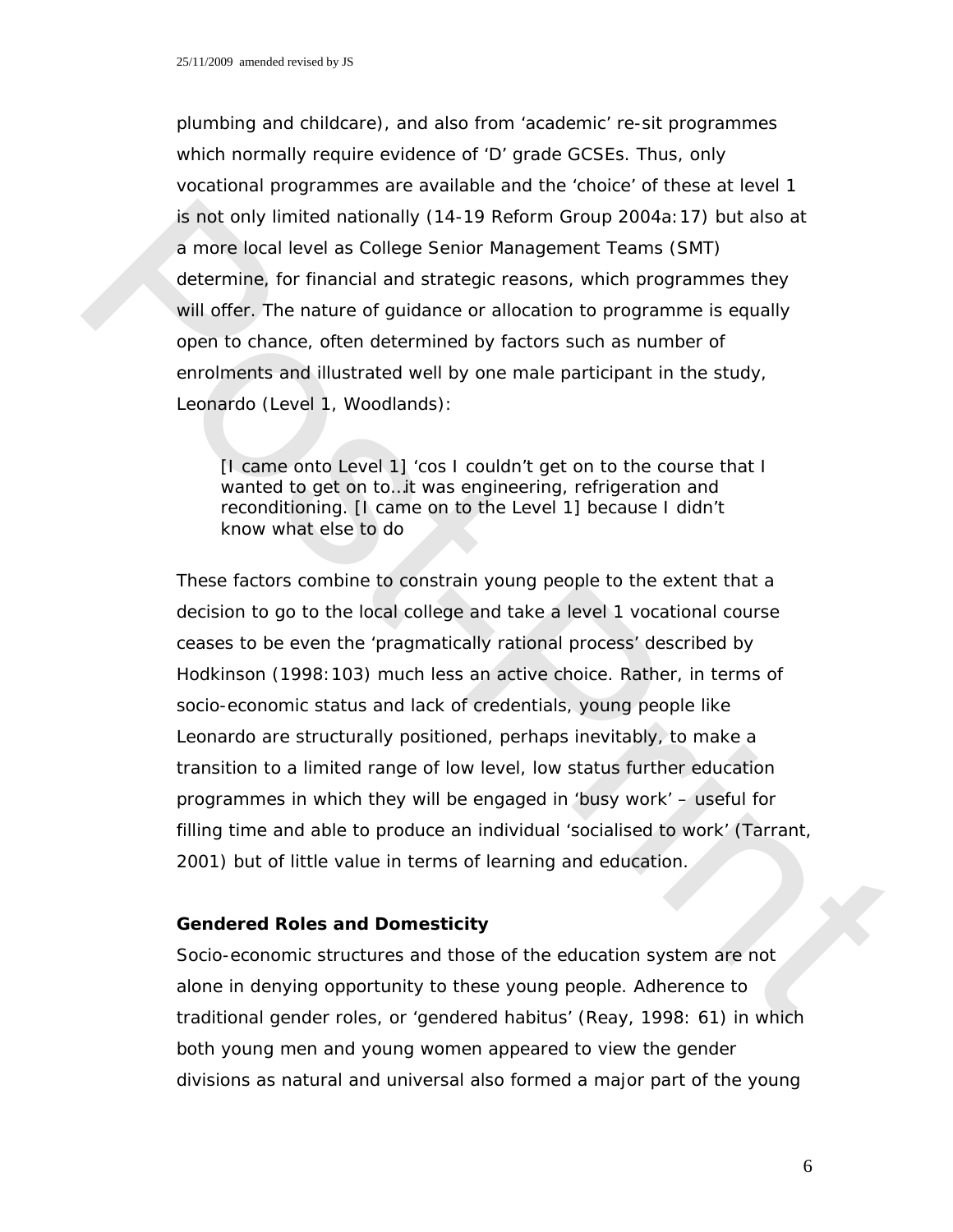plumbing and childcare), and also from 'academic' re-sit programmes which normally require evidence of 'D' grade GCSEs. Thus, only vocational programmes are available and the 'choice' of these at level 1 is not only limited nationally (14-19 Reform Group 2004a:17) but also at a more local level as College Senior Management Teams (SMT) determine, for financial and strategic reasons, which programmes they will offer. The nature of guidance or allocation to programme is equally open to chance, often determined by factors such as number of enrolments and illustrated well by one male participant in the study, Leonardo (Level 1, Woodlands):

[I came onto Level 1] 'cos I couldn't get on to the course that I wanted to get on to…it was engineering, refrigeration and reconditioning. [I came on to the Level 1] because I didn't know what else to do

These factors combine to constrain young people to the extent that a decision to go to the local college and take a level 1 vocational course ceases to be even the 'pragmatically rational process' described by Hodkinson (1998:103) much less an active choice. Rather, in terms of socio-economic status and lack of credentials, young people like Leonardo are structurally positioned, perhaps inevitably, to make a transition to a limited range of low level, low status further education programmes in which they will be engaged in 'busy work' – useful for filling time and able to produce an individual 'socialised to work' (Tarrant, 2001) but of little value in terms of learning and education. is not only limited nationally (14-19 Reform Group 2004a; 17) but also at<br>a none focal lavel as College Senior Management Teams (SM1)<br>determine, for financial and strategic reasons, which programmes they<br>dietermine, for fi

## **Gendered Roles and Domesticity**

Socio-economic structures and those of the education system are not alone in denying opportunity to these young people. Adherence to traditional gender roles, or 'gendered habitus' (Reay, 1998: 61) in which both young men and young women appeared to view the gender divisions as natural and universal also formed a major part of the young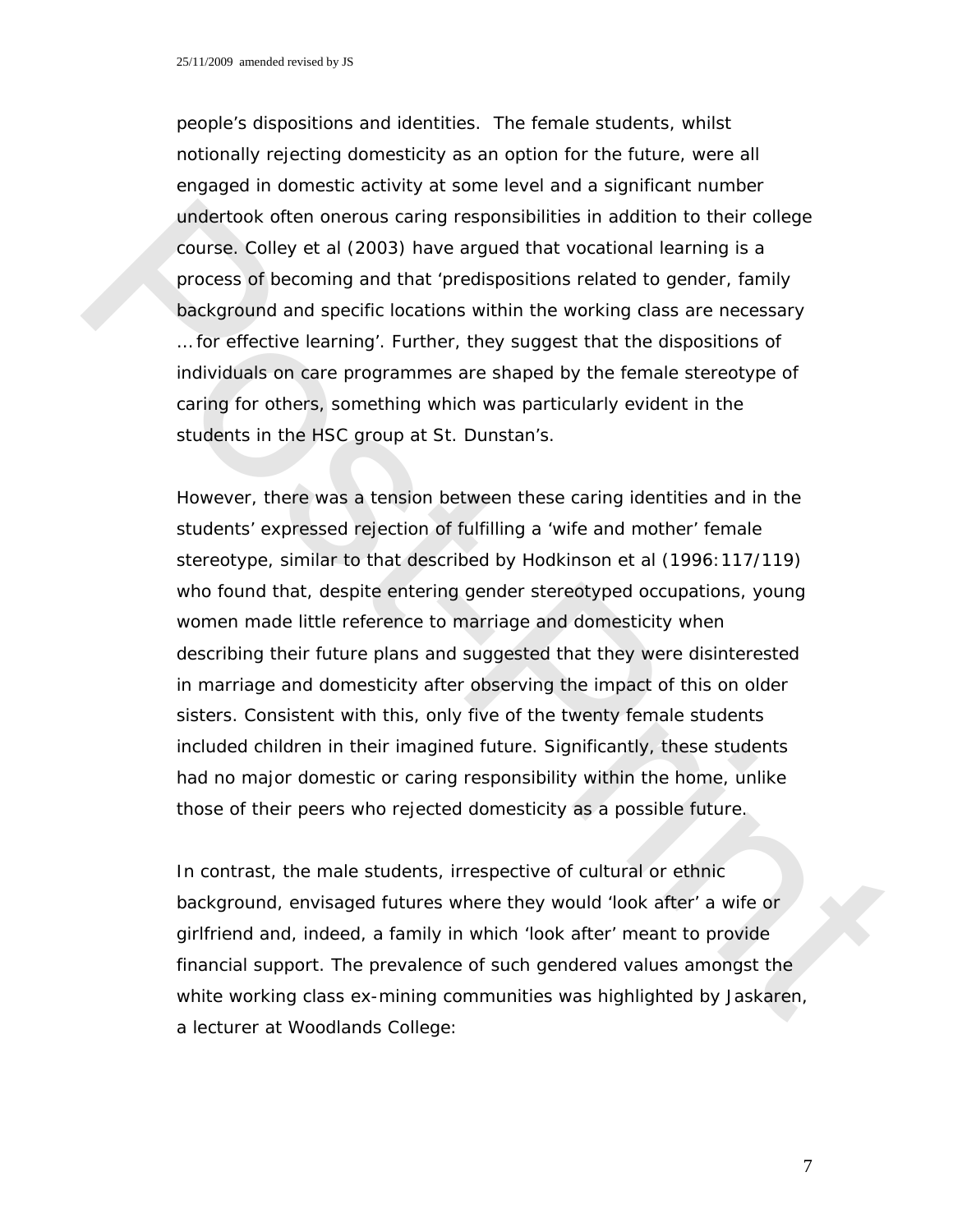people's dispositions and identities. The female students, whilst notionally rejecting domesticity as an option for the future, were all engaged in domestic activity at some level and a significant number undertook often onerous caring responsibilities in addition to their college course. Colley et al (2003) have argued that vocational learning is a process of becoming and that 'predispositions related to gender, family background and specific locations within the working class are necessary … for effective learning'. Further, they suggest that the dispositions of individuals on care programmes are shaped by the female stereotype of caring for others, something which was particularly evident in the students in the HSC group at St. Dunstan's.

However, there was a tension between these caring identities and in the students' expressed rejection of fulfilling a 'wife and mother' female stereotype, similar to that described by Hodkinson et al (1996:117/119) who found that, despite entering gender stereotyped occupations, young women made little reference to marriage and domesticity when describing their future plans and suggested that they were disinterested in marriage and domesticity after observing the impact of this on older sisters. Consistent with this, only five of the twenty female students included children in their imagined future. Significantly, these students had no major domestic or caring responsibility within the home, unlike those of their peers who rejected domesticity as a possible future. undertook often onerous caring responsibilities in addition to their college<br>coise. Colley et all (2003) have argued that vocational learning is a<br>process of becoming and that predispositions related to gender, family<br>back

In contrast, the male students, irrespective of cultural or ethnic background, envisaged futures where they would 'look after' a wife or girlfriend and, indeed, a family in which 'look after' meant to provide financial support. The prevalence of such gendered values amongst the white working class ex-mining communities was highlighted by Jaskaren, a lecturer at Woodlands College: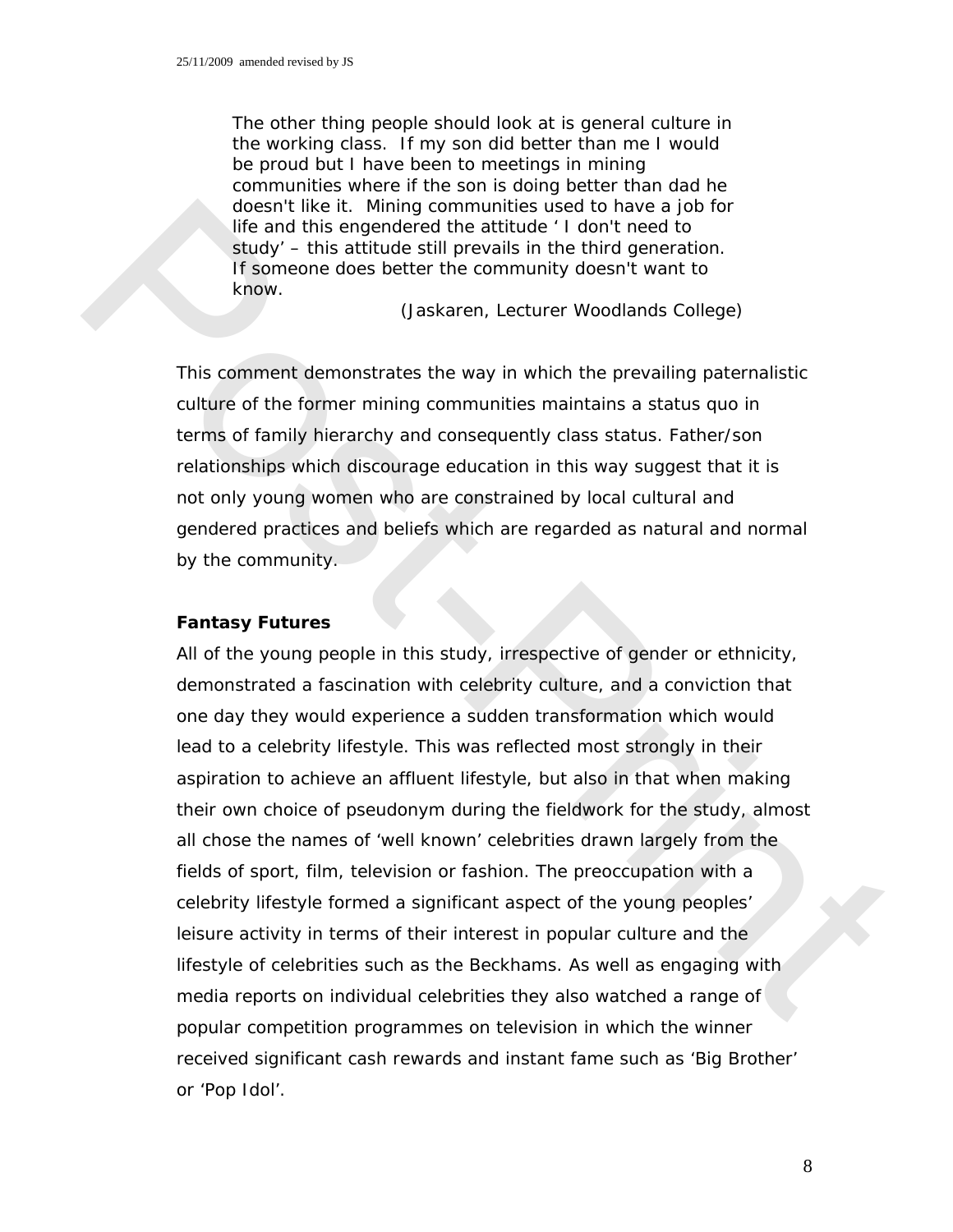The other thing people should look at is general culture in the working class. If my son did better than me I would be proud but I have been to meetings in mining communities where if the son is doing better than dad he doesn't like it. Mining communities used to have a job for life and this engendered the attitude ' I don't need to study' – this attitude still prevails in the third generation. If someone does better the community doesn't want to know.

(Jaskaren, Lecturer Woodlands College)

This comment demonstrates the way in which the prevailing paternalistic culture of the former mining communities maintains a status quo in terms of family hierarchy and consequently class status. Father/son relationships which discourage education in this way suggest that it is not only young women who are constrained by local cultural and gendered practices and beliefs which are regarded as natural and normal by the community.

## **Fantasy Futures**

All of the young people in this study, irrespective of gender or ethnicity, demonstrated a fascination with celebrity culture, and a conviction that one day they would experience a sudden transformation which would lead to a celebrity lifestyle. This was reflected most strongly in their aspiration to achieve an affluent lifestyle, but also in that when making their own choice of pseudonym during the fieldwork for the study, almost all chose the names of 'well known' celebrities drawn largely from the fields of sport, film, television or fashion. The preoccupation with a celebrity lifestyle formed a significant aspect of the young peoples' leisure activity in terms of their interest in popular culture and the lifestyle of celebrities such as the Beckhams. As well as engaging with media reports on individual celebrities they also watched a range of popular competition programmes on television in which the winner received significant cash rewards and instant fame such as 'Big Brother' or 'Pop Idol'. doesn't like it. Mining communities used to have a job for the substrape of the structure and this engendered the articular of the mid generation.<br>If someone does better the community doesn't want to<br>Inf someone does bette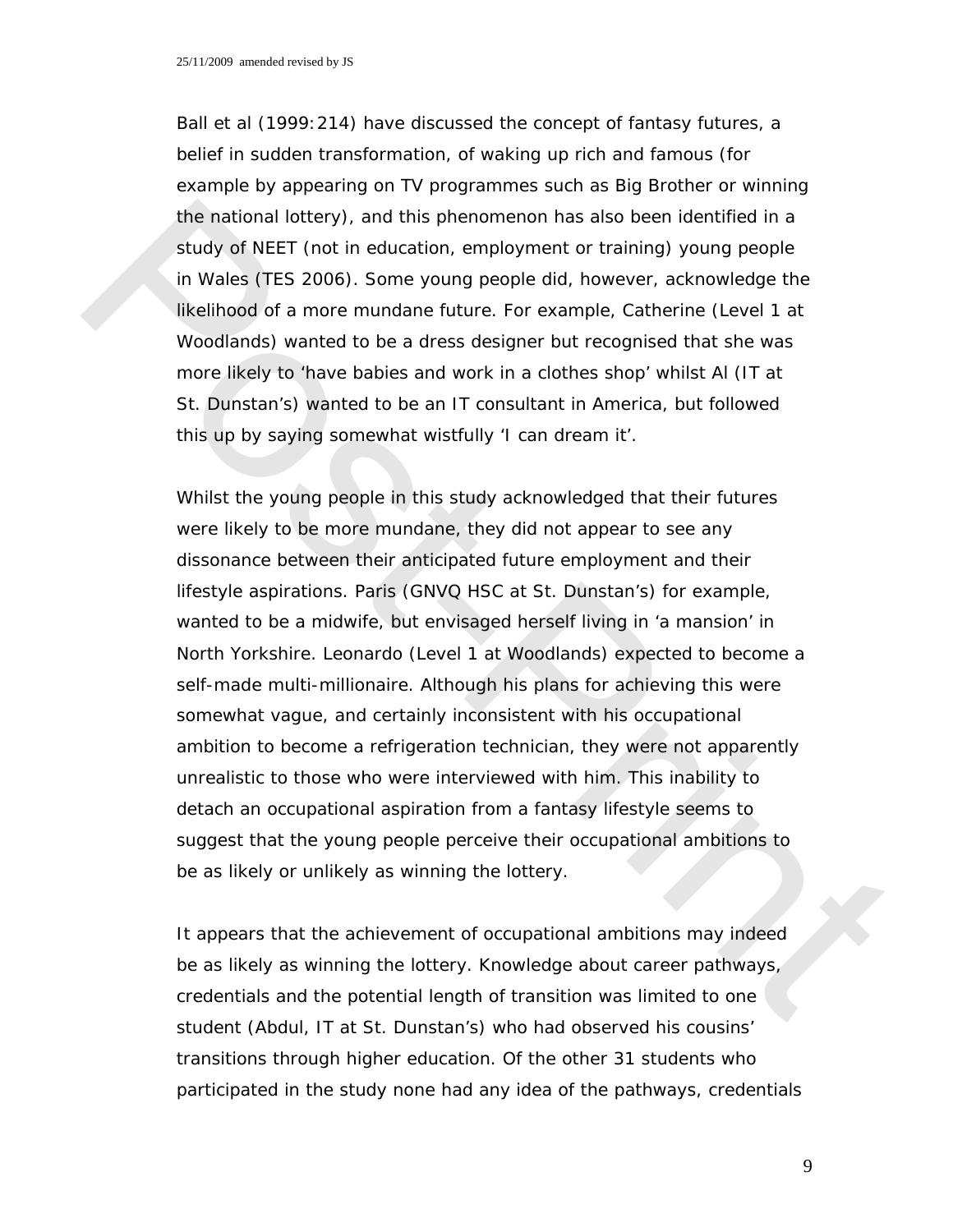Ball et al (1999:214) have discussed the concept of fantasy futures, a belief in sudden transformation, of waking up rich and famous (for example by appearing on TV programmes such as *Big Brother* or winning the national lottery), and this phenomenon has also been identified in a study of NEET (not in education, employment or training) young people in Wales (TES 2006). Some young people did, however, acknowledge the likelihood of a more mundane future. For example, Catherine (Level 1 at Woodlands) wanted to be a dress designer but recognised that she was more likely to 'have babies and work in a clothes shop' whilst Al (IT at St. Dunstan's) wanted to be an IT consultant in America, but followed this up by saying somewhat wistfully 'I can dream it'.

Whilst the young people in this study acknowledged that their futures were likely to be more mundane, they did not appear to see any dissonance between their anticipated future employment and their lifestyle aspirations. Paris (GNVQ HSC at St. Dunstan's) for example, wanted to be a midwife, but envisaged herself living in 'a mansion' in North Yorkshire. Leonardo (Level 1 at Woodlands) expected to become a self-made multi-millionaire. Although his plans for achieving this were somewhat vague, and certainly inconsistent with his occupational ambition to become a refrigeration technician, they were not apparently unrealistic to those who were interviewed with him. This inability to detach an occupational aspiration from a fantasy lifestyle seems to suggest that the young people perceive their occupational ambitions to be as likely or unlikely as winning the lottery. the national lottery), and this phenomenon has also been identified in a<br>study of NEET (not in education, employment or training) young people<br>in Wales (TES 2006). Some young people did, however, acknowledge the<br>likelihood

It appears that the achievement of occupational ambitions may indeed be as likely as winning the lottery. Knowledge about career pathways, credentials and the potential length of transition was limited to one student (Abdul, IT at St. Dunstan's) who had observed his cousins' transitions through higher education. Of the other 31 students who participated in the study none had any idea of the pathways, credentials

9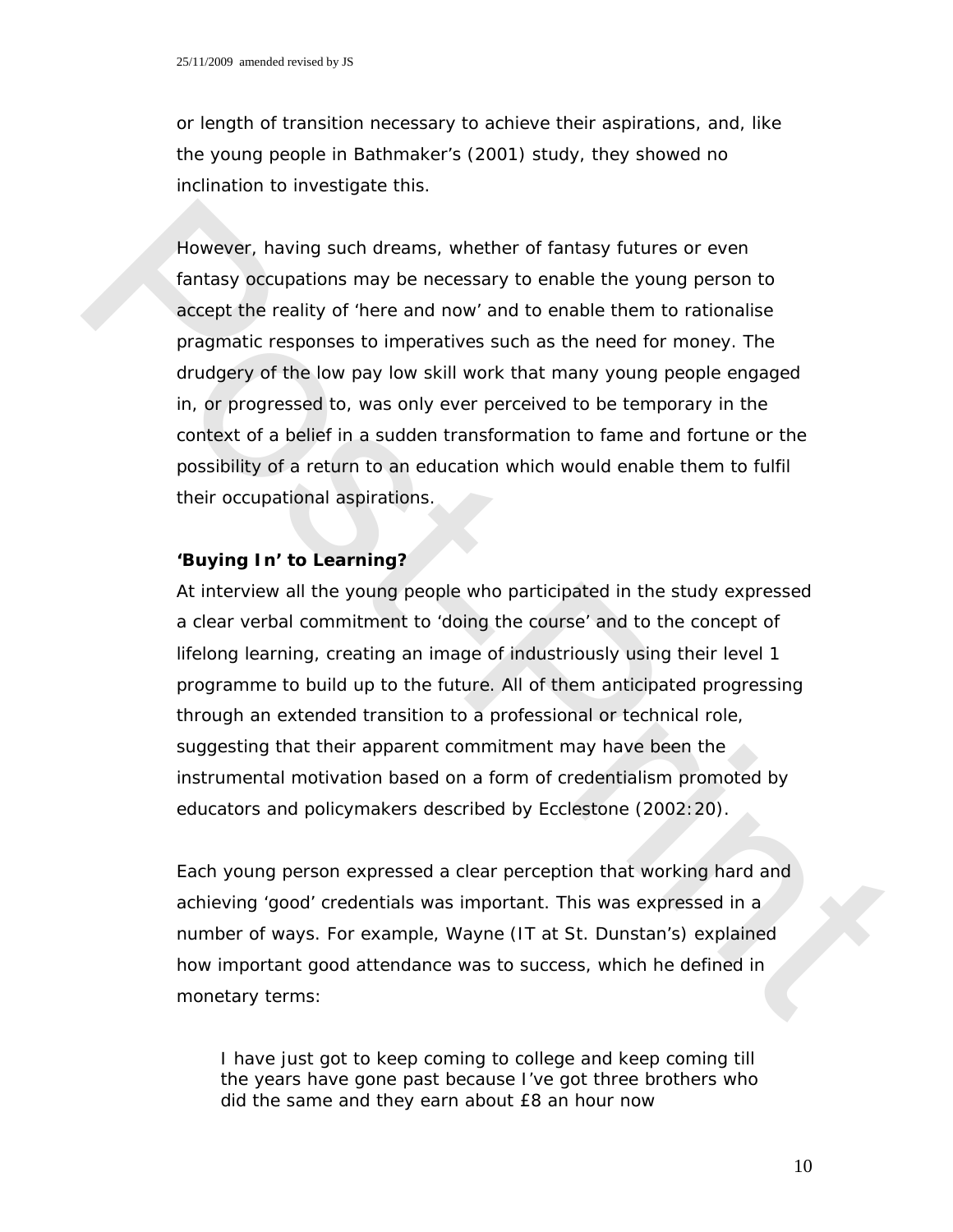or length of transition necessary to achieve their aspirations, and, like the young people in Bathmaker's (2001) study, they showed no inclination to investigate this.

However, having such dreams, whether of fantasy futures or even fantasy occupations may be necessary to enable the young person to accept the reality of 'here and now' and to enable them to rationalise pragmatic responses to imperatives such as the need for money. The drudgery of the low pay low skill work that many young people engaged in, or progressed to, was only ever perceived to be temporary in the context of a belief in a sudden transformation to fame and fortune or the possibility of a return to an education which would enable them to fulfil their occupational aspirations. However, having such dreams, whether of fantasy tutures or even<br>tantasy occupations may be necessary to enable the young person to<br>accept the reality of there and now and to enable them to rationalise<br>pragmatic responses t

## **'Buying In' to Learning?**

At interview all the young people who participated in the study expressed a clear verbal commitment to 'doing the course' and to the concept of lifelong learning, creating an image of industriously using their level 1 programme to build up to the future. All of them anticipated progressing through an extended transition to a professional or technical role, suggesting that their apparent commitment may have been the instrumental motivation based on a form of credentialism promoted by educators and policymakers described by Ecclestone (2002:20).

Each young person expressed a clear perception that working hard and achieving 'good' credentials was important. This was expressed in a number of ways. For example, Wayne (IT at St. Dunstan's) explained how important good attendance was to success, which he defined in monetary terms:

I have just got to keep coming to college and keep coming till the years have gone past because I've got three brothers who did the same and they earn about £8 an hour now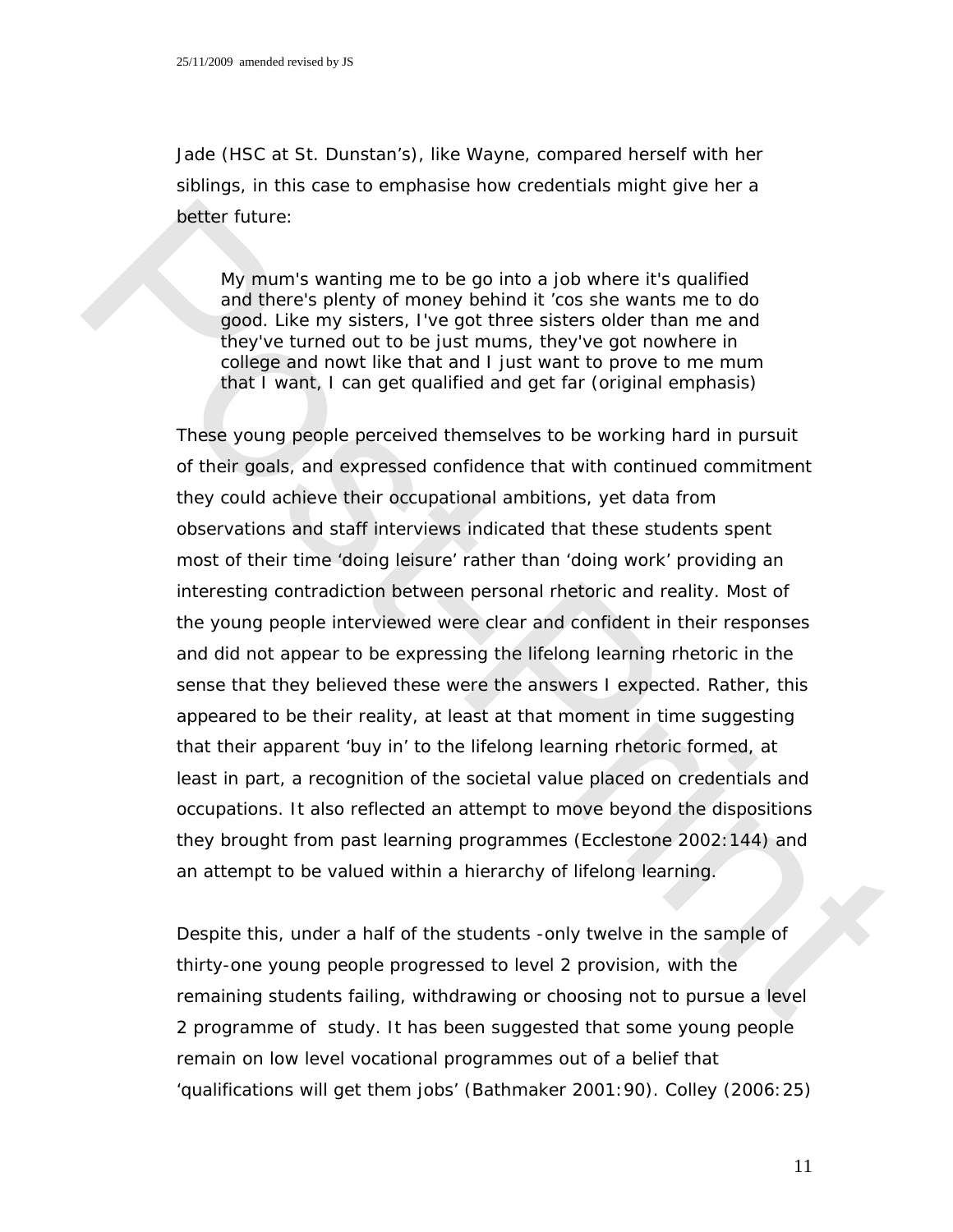Jade (HSC at St. Dunstan's), like Wayne, compared herself with her siblings, in this case to emphasise how credentials might give her a better future:

My mum's wanting me to be go into a job where it's qualified and there's plenty of money behind it 'cos she wants me to do good. Like my sisters, I've got three sisters older than me and they've turned out to be just mums, they've got nowhere in college and nowt like that and I just want to prove to me mum that I want, I *can* get qualified and get far *(original emphasis)*

These young people perceived themselves to be working hard in pursuit of their goals, and expressed confidence that with continued commitment they could achieve their occupational ambitions, yet data from observations and staff interviews indicated that these students spent most of their time 'doing leisure' rather than 'doing work' providing an interesting contradiction between personal rhetoric and reality. Most of the young people interviewed were clear and confident in their responses and did not appear to be expressing the lifelong learning rhetoric in the sense that they believed these were the answers I expected. Rather, this appeared to be their reality, at least at that moment in time suggesting that their apparent 'buy in' to the lifelong learning rhetoric formed, at least in part, a recognition of the societal value placed on credentials and occupations. It also reflected an attempt to move beyond the dispositions they brought from past learning programmes (Ecclestone 2002:144) and an attempt to be valued within a hierarchy of lifelong learning. better future:<br>
My mum's wanting me to be go into a job where it's qualified<br>
and there's plently of money beind it' cas she wants me to do<br>
good. Like my sisters, I've got three sisters ofder than me and<br>
they've turned o

Despite this, under a half of the students -only twelve in the sample of thirty-one young people progressed to level 2 provision, with the remaining students failing, withdrawing or choosing not to pursue a level 2 programme of study. It has been suggested that some young people remain on low level vocational programmes out of a belief that 'qualifications will get them jobs' (Bathmaker 2001:90). Colley (2006:25)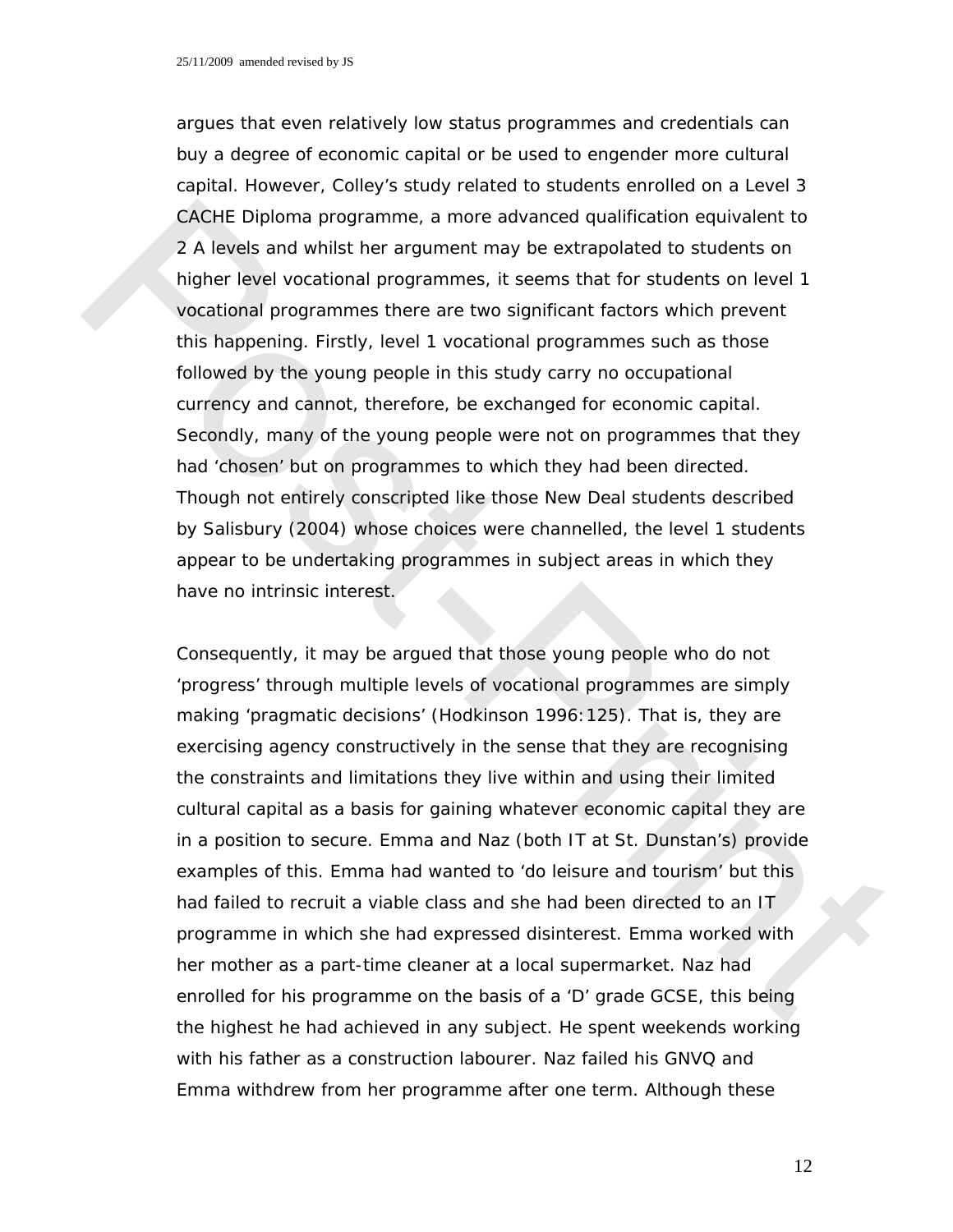argues that even relatively low status programmes and credentials can buy a degree of economic capital or be used to engender more cultural capital. However, Colley's study related to students enrolled on a Level 3 CACHE Diploma programme, a more advanced qualification equivalent to 2 A levels and whilst her argument may be extrapolated to students on higher level vocational programmes, it seems that for students on level 1 vocational programmes there are two significant factors which prevent this happening. Firstly, level 1 vocational programmes such as those followed by the young people in this study carry no occupational currency and cannot, therefore, be exchanged for economic capital. Secondly, many of the young people were not on programmes that they had 'chosen' but on programmes to which they had been directed. Though not entirely conscripted like those New Deal students described by Salisbury (2004) whose choices were channelled, the level 1 students appear to be undertaking programmes in subject areas in which they have no intrinsic interest. CACHE Diploma programme, a more advanced qualification equivalent to<br>
2.4 levels and whilst her argument may be extrapolated to students on<br>
higher level vocational programmes, it seems that for students on level 1<br>
vocat

Consequently, it may be argued that those young people who do not 'progress' through multiple levels of vocational programmes are simply making 'pragmatic decisions' (Hodkinson 1996:125). That is, they are exercising agency constructively in the sense that they are recognising the constraints and limitations they live within and using their limited cultural capital as a basis for gaining whatever economic capital they are in a position to secure. Emma and Naz (both IT at St. Dunstan's) provide examples of this. Emma had wanted to 'do leisure and tourism' but this had failed to recruit a viable class and she had been directed to an IT programme in which she had expressed disinterest. Emma worked with her mother as a part-time cleaner at a local supermarket. Naz had enrolled for his programme on the basis of a 'D' grade GCSE, this being the highest he had achieved in any subject. He spent weekends working with his father as a construction labourer. Naz failed his GNVQ and Emma withdrew from her programme after one term. Although these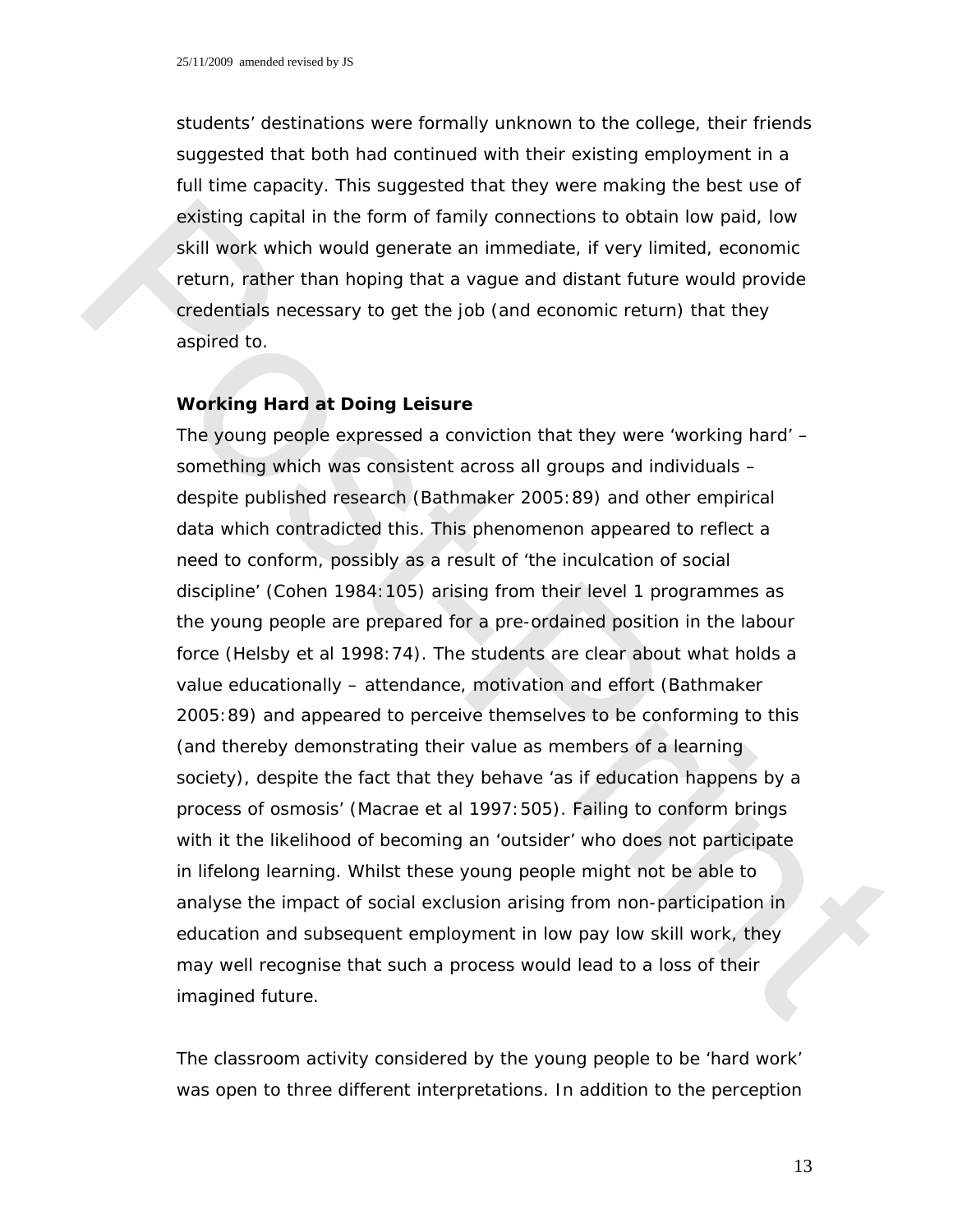students' destinations were formally unknown to the college, their friends suggested that both had continued with their existing employment in a full time capacity. This suggested that they were making the best use of existing capital in the form of family connections to obtain low paid, low skill work which would generate an immediate, if very limited, economic return, rather than hoping that a vague and distant future would provide credentials necessary to get the job (and economic return) that they aspired to.

#### **Working Hard at Doing Leisure**

The young people expressed a conviction that they were 'working hard' – something which was consistent across all groups and individuals – despite published research (Bathmaker 2005:89) and other empirical data which contradicted this. This phenomenon appeared to reflect a need to conform, possibly as a result of 'the inculcation of social discipline' (Cohen 1984:105) arising from their level 1 programmes as the young people are prepared for a pre-ordained position in the labour force (Helsby et al 1998:74). The students are clear about what holds a value educationally – attendance, motivation and effort (Bathmaker 2005:89) and appeared to perceive themselves to be conforming to this (and thereby demonstrating their value as members of a learning society), despite the fact that they behave 'as if education happens by a process of osmosis' (Macrae et al 1997:505). Failing to conform brings with it the likelihood of becoming an 'outsider' who does not participate in lifelong learning. Whilst these young people might not be able to analyse the impact of social exclusion arising from non-participation in education and subsequent employment in low pay low skill work, they may well recognise that such a process would lead to a loss of their imagined future. existing capital in the form of family connections to obtain low paid, low<br>skill work which would generate an inmediate, if very limited, economic<br>relum, rather than hoping that a vague and distant luture would provide<br>cre

> The classroom activity considered by the young people to be 'hard work' was open to three different interpretations. In addition to the perception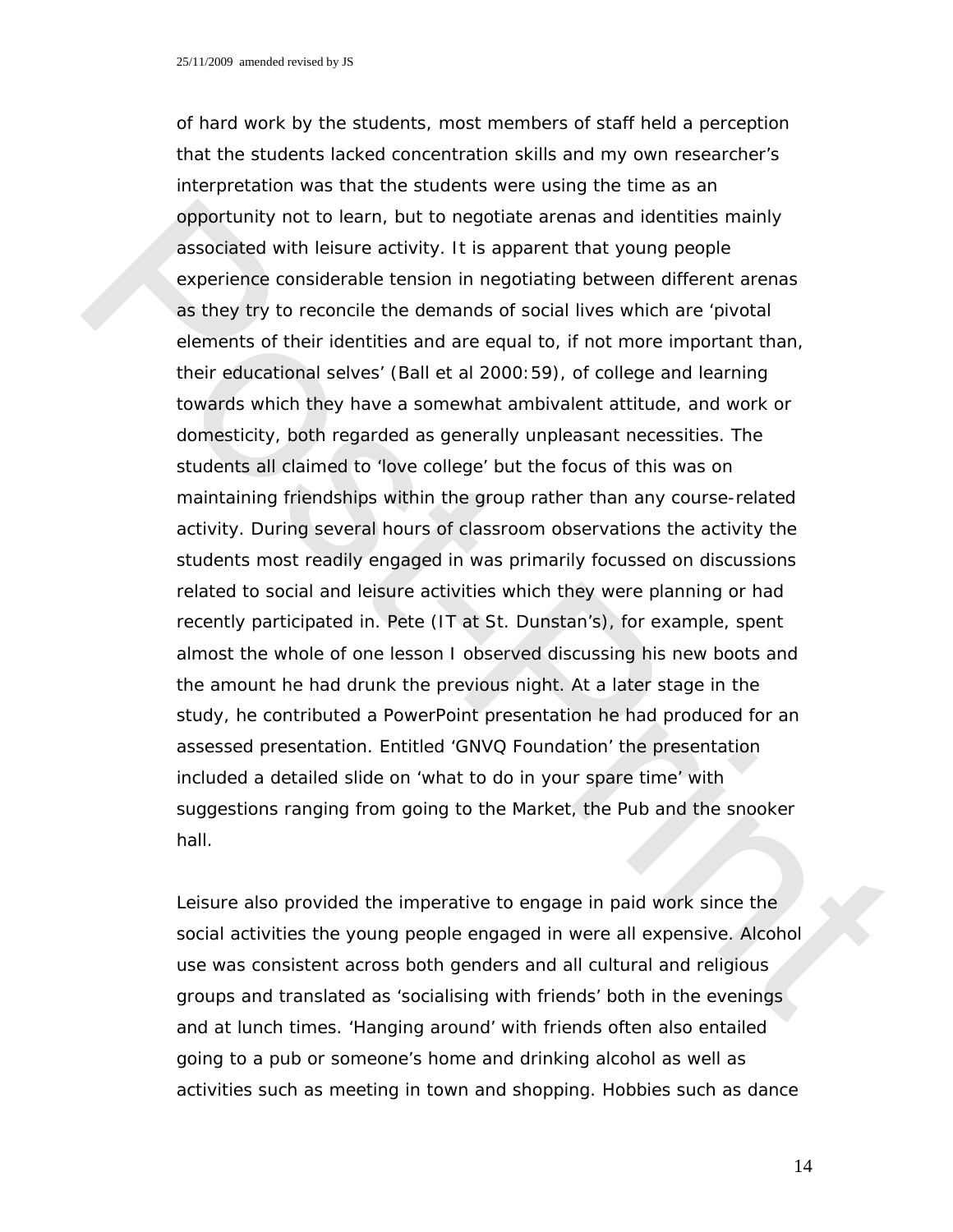of hard work by the students, most members of staff held a perception that the students lacked concentration skills and my own researcher's interpretation was that the students were using the time as an opportunity not to learn, but to negotiate arenas and identities mainly associated with leisure activity. It is apparent that young people experience considerable tension in negotiating between different arenas as they try to reconcile the demands of social lives which are 'pivotal elements of their identities and are equal to, if not more important than, their educational selves' (Ball et al 2000:59), of college and learning towards which they have a somewhat ambivalent attitude, and work or domesticity, both regarded as generally unpleasant necessities. The students all claimed to 'love college' but the focus of this was on maintaining friendships within the group rather than any course-related activity. During several hours of classroom observations the activity the students most readily engaged in was primarily focussed on discussions related to social and leisure activities which they were planning or had recently participated in. Pete (IT at St. Dunstan's), for example, spent almost the whole of one lesson I observed discussing his new boots and the amount he had drunk the previous night. At a later stage in the study, he contributed a PowerPoint presentation he had produced for an assessed presentation. Entitled 'GNVQ Foundation' the presentation included a detailed slide on 'what to do in your spare time' with suggestions ranging from going to the Market, the Pub and the snooker hall. opportunity not to learn, but to negotiate arenas and identities mainly<br>associated with learne activity. It is apparent that young people<br>experience considerable lension in negotiating between different arenas<br>as they try

Leisure also provided the imperative to engage in paid work since the social activities the young people engaged in were all expensive. Alcohol use was consistent across both genders and all cultural and religious groups and translated as 'socialising with friends' both in the evenings and at lunch times. 'Hanging around' with friends often also entailed going to a pub or someone's home and drinking alcohol as well as activities such as meeting in town and shopping. Hobbies such as dance

14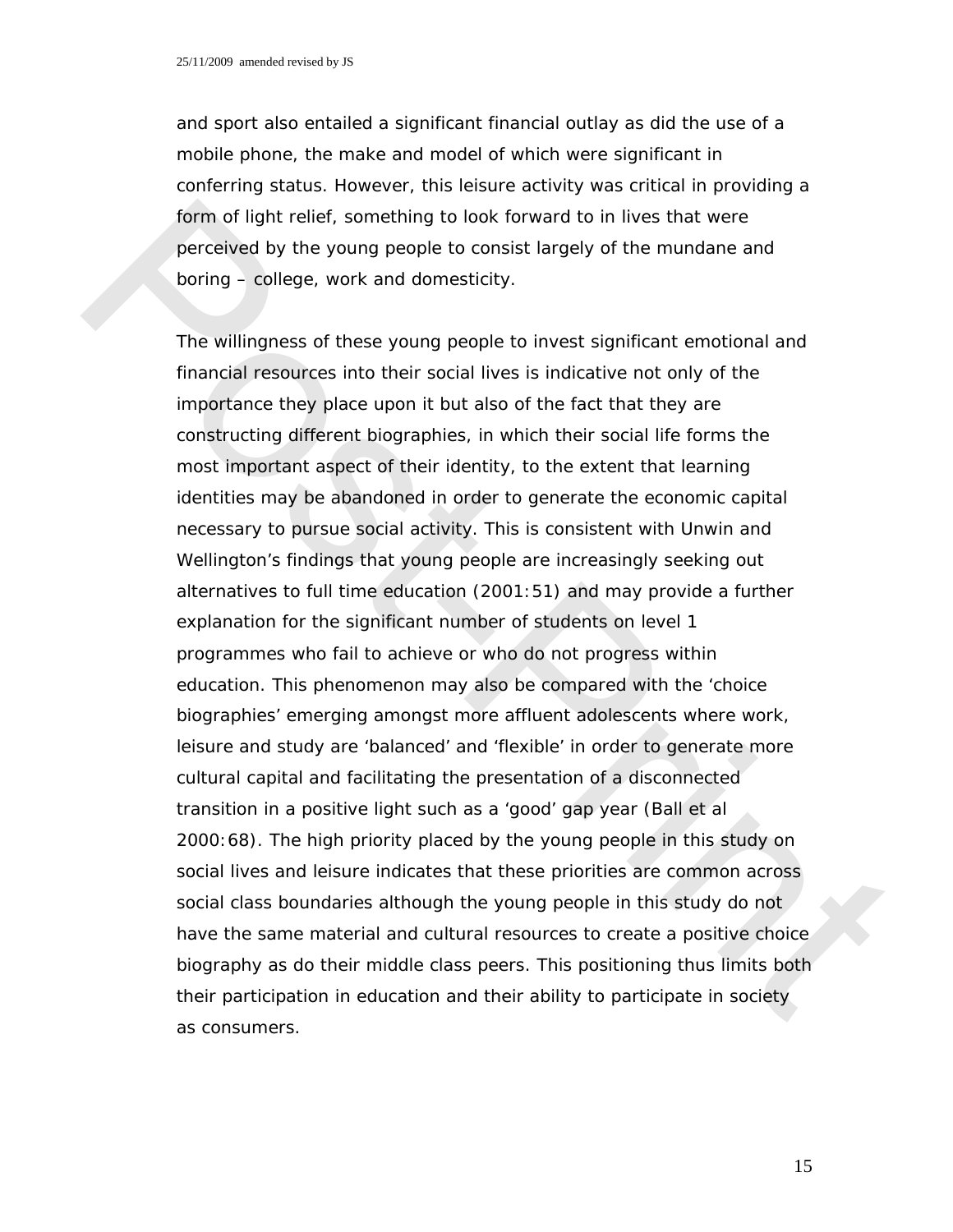and sport also entailed a significant financial outlay as did the use of a mobile phone, the make and model of which were significant in conferring status. However, this leisure activity was critical in providing a form of light relief, something to look forward to in lives that were perceived by the young people to consist largely of the mundane and boring – college, work and domesticity.

The willingness of these young people to invest significant emotional and financial resources into their social lives is indicative not only of the importance they place upon it but also of the fact that they are constructing different biographies, in which their social life forms the most important aspect of their identity, to the extent that learning identities may be abandoned in order to generate the economic capital necessary to pursue social activity. This is consistent with Unwin and Wellington's findings that young people are increasingly seeking out alternatives to full time education (2001:51) and may provide a further explanation for the significant number of students on level 1 programmes who fail to achieve or who do not progress within education. This phenomenon may also be compared with the 'choice biographies' emerging amongst more affluent adolescents where work, leisure and study are 'balanced' and 'flexible' in order to generate more cultural capital and facilitating the presentation of a disconnected transition in a positive light such as a 'good' gap year (Ball et al 2000:68). The high priority placed by the young people in this study on social lives and leisure indicates that these priorities are common across social class boundaries although the young people in this study do not have the same material and cultural resources to create a positive choice biography as do their middle class peers. This positioning thus limits both their participation in education and their ability to participate in society as consumers. form of light relief, something to look forward to in lives that were<br>perceived by the young people to consist largely of the mundane and<br>boring – college, work and domesticity.<br>The willingness of these young people to li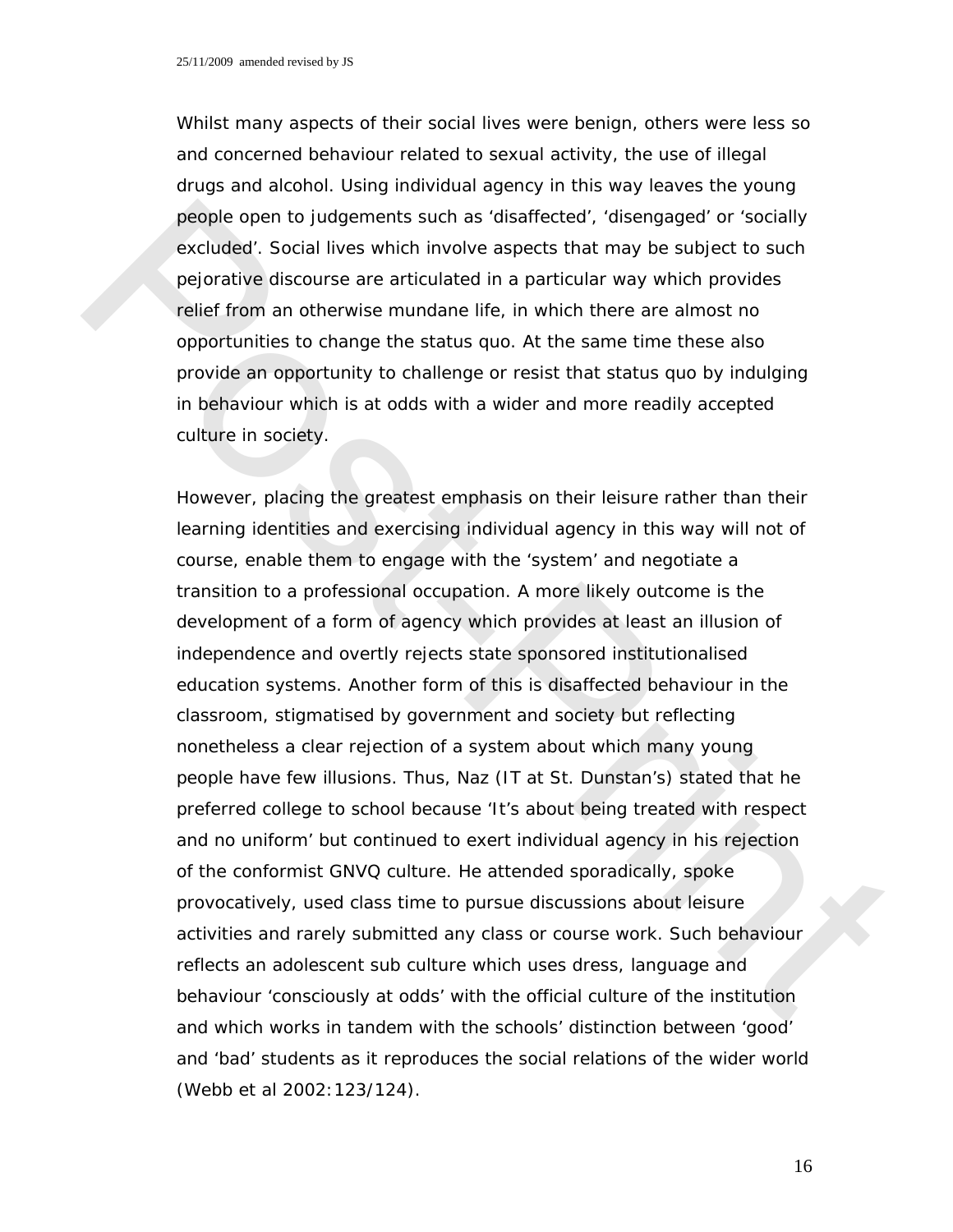Whilst many aspects of their social lives were benign, others were less so and concerned behaviour related to sexual activity, the use of illegal drugs and alcohol. Using individual agency in this way leaves the young people open to judgements such as 'disaffected', 'disengaged' or 'socially excluded'. Social lives which involve aspects that may be subject to such pejorative discourse are articulated in a particular way which provides relief from an otherwise mundane life, in which there are almost no opportunities to change the status quo. At the same time these also provide an opportunity to challenge or resist that status quo by indulging in behaviour which is at odds with a wider and more readily accepted culture in society.

However, placing the greatest emphasis on their leisure rather than their learning identities and exercising individual agency in this way will not of course, enable them to engage with the 'system' and negotiate a transition to a professional occupation. A more likely outcome is the development of a form of agency which provides at least an illusion of independence and overtly rejects state sponsored institutionalised education systems. Another form of this is disaffected behaviour in the classroom, stigmatised by government and society but reflecting nonetheless a clear rejection of a system about which many young people have few illusions. Thus, Naz (IT at St. Dunstan's) stated that he preferred college to school because 'It's about being treated with respect and no uniform' but continued to exert individual agency in his rejection of the conformist GNVQ culture. He attended sporadically, spoke provocatively, used class time to pursue discussions about leisure activities and rarely submitted any class or course work. Such behaviour reflects an adolescent sub culture which uses dress, language and behaviour 'consciously at odds' with the official culture of the institution and which works in tandem with the schools' distinction between 'good' and 'bad' students as it reproduces the social relations of the wider world (Webb et al 2002:123/124). people open to judgements such as 'disaffected', 'disengaged' or 'socially<br>excluded', Social lives which invoke aspects that may be subject to such<br>pejoralive discourse are articulated in a particular way which provides<br>re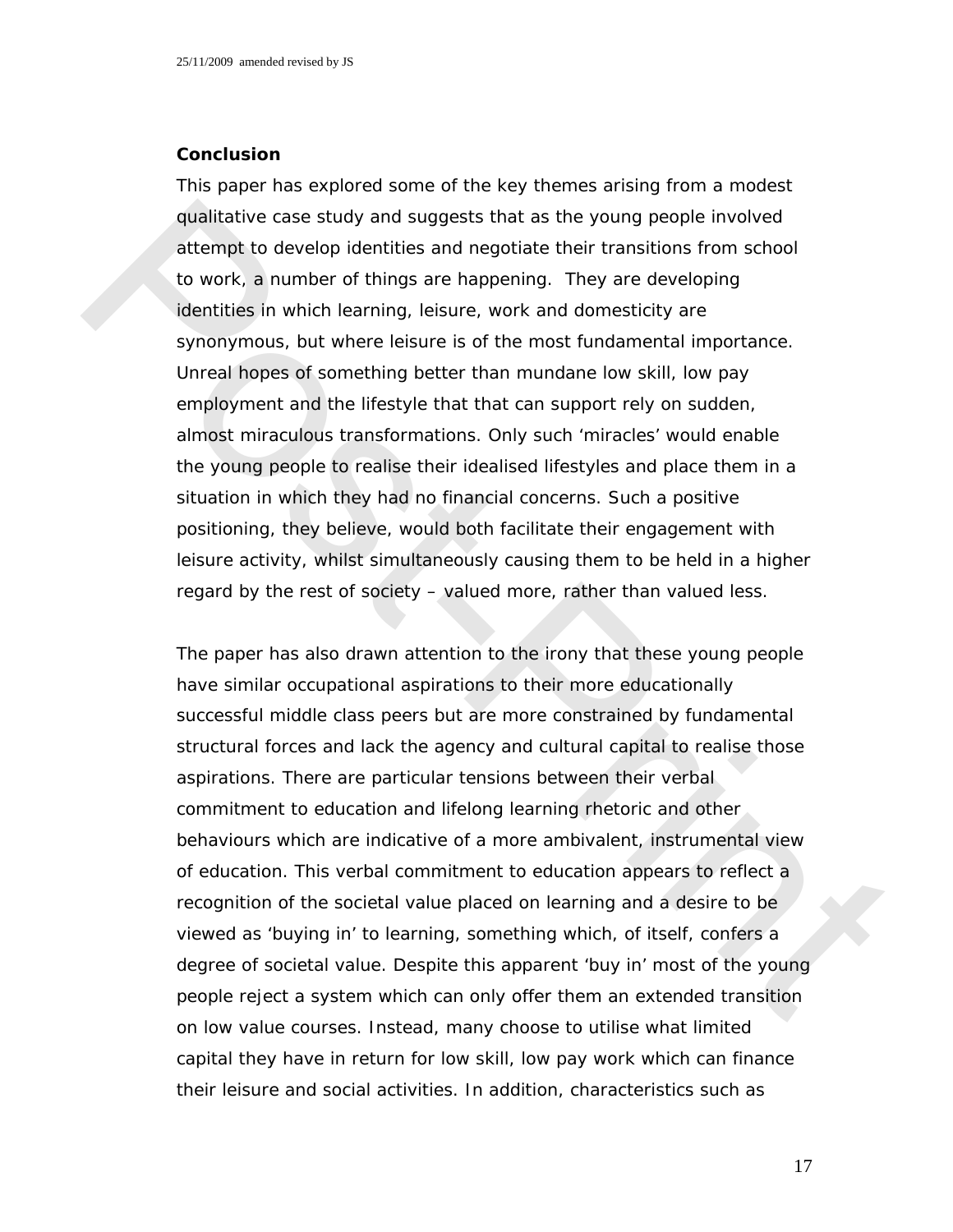#### **Conclusion**

This paper has explored some of the key themes arising from a modest qualitative case study and suggests that as the young people involved attempt to develop identities and negotiate their transitions from school to work, a number of things are happening. They are developing identities in which learning, leisure, work and domesticity are synonymous, but where leisure is of the most fundamental importance. Unreal hopes of something better than mundane low skill, low pay employment and the lifestyle that that can support rely on sudden, almost miraculous transformations. Only such 'miracles' would enable the young people to realise their idealised lifestyles and place them in a situation in which they had no financial concerns. Such a positive positioning, they believe, would both facilitate their engagement with leisure activity, whilst simultaneously causing them to be held in a higher regard by the rest of society – valued more, rather than valued less. qualitative case study and suggests that as the young people involved<br>attempt to develop identities and negotiate their transitions from school<br>to work, a number of linings are happening. They are developing<br>dentities in w

The paper has also drawn attention to the irony that these young people have similar occupational aspirations to their more educationally successful middle class peers but are more constrained by fundamental structural forces and lack the agency and cultural capital to realise those aspirations. There are particular tensions between their verbal commitment to education and lifelong learning rhetoric and other behaviours which are indicative of a more ambivalent, instrumental view of education. This verbal commitment to education appears to reflect a recognition of the societal value placed on learning and a desire to be viewed as 'buying in' to learning, something which, of itself, confers a degree of societal value. Despite this apparent 'buy in' most of the young people reject a system which can only offer them an extended transition on low value courses. Instead, many choose to utilise what limited capital they have in return for low skill, low pay work which can finance their leisure and social activities. In addition, characteristics such as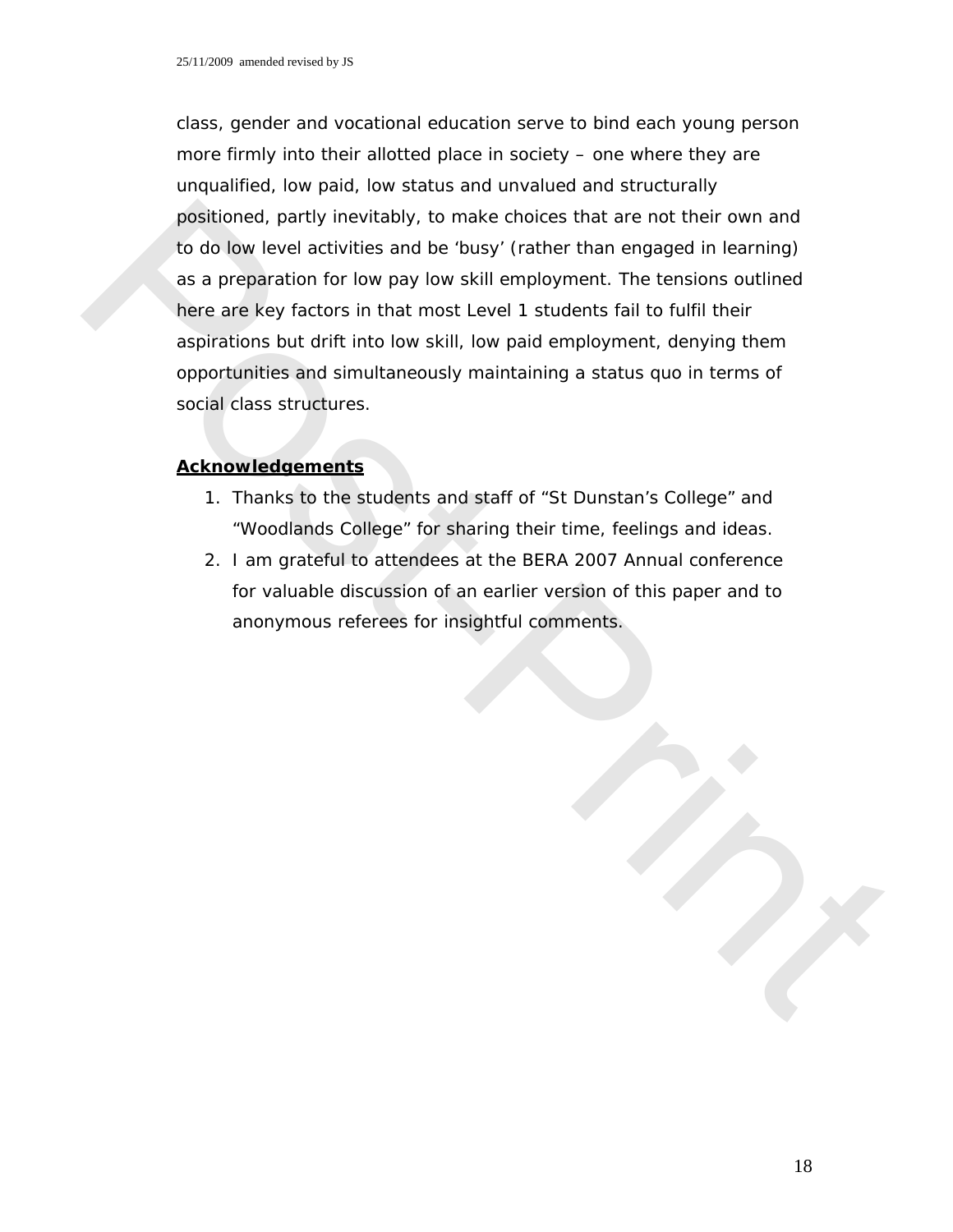class, gender and vocational education serve to bind each young person more firmly into their allotted place in society – one where they are unqualified, low paid, low status and unvalued and structurally positioned, partly inevitably, to make choices that are not their own and to do low level activities and be 'busy' (rather than engaged in learning) as a preparation for low pay low skill employment. The tensions outlined here are key factors in that most Level 1 students fail to fulfil their aspirations but drift into low skill, low paid employment, denying them opportunities and simultaneously maintaining a status quo in terms of social class structures. positioned, partly inevitably, to make choices that are not their own and<br>to do low level activities and be busy (rather than engaged in learning)<br>as a preparation for low pay low skill employment. The tensions outlined<br>he

## **Acknowledgements**

- 1. Thanks to the students and staff of "St Dunstan's College" and "Woodlands College" for sharing their time, feelings and ideas.
- 2. I am grateful to attendees at the BERA 2007 Annual conference for valuable discussion of an earlier version of this paper and to anonymous referees for insightful comments.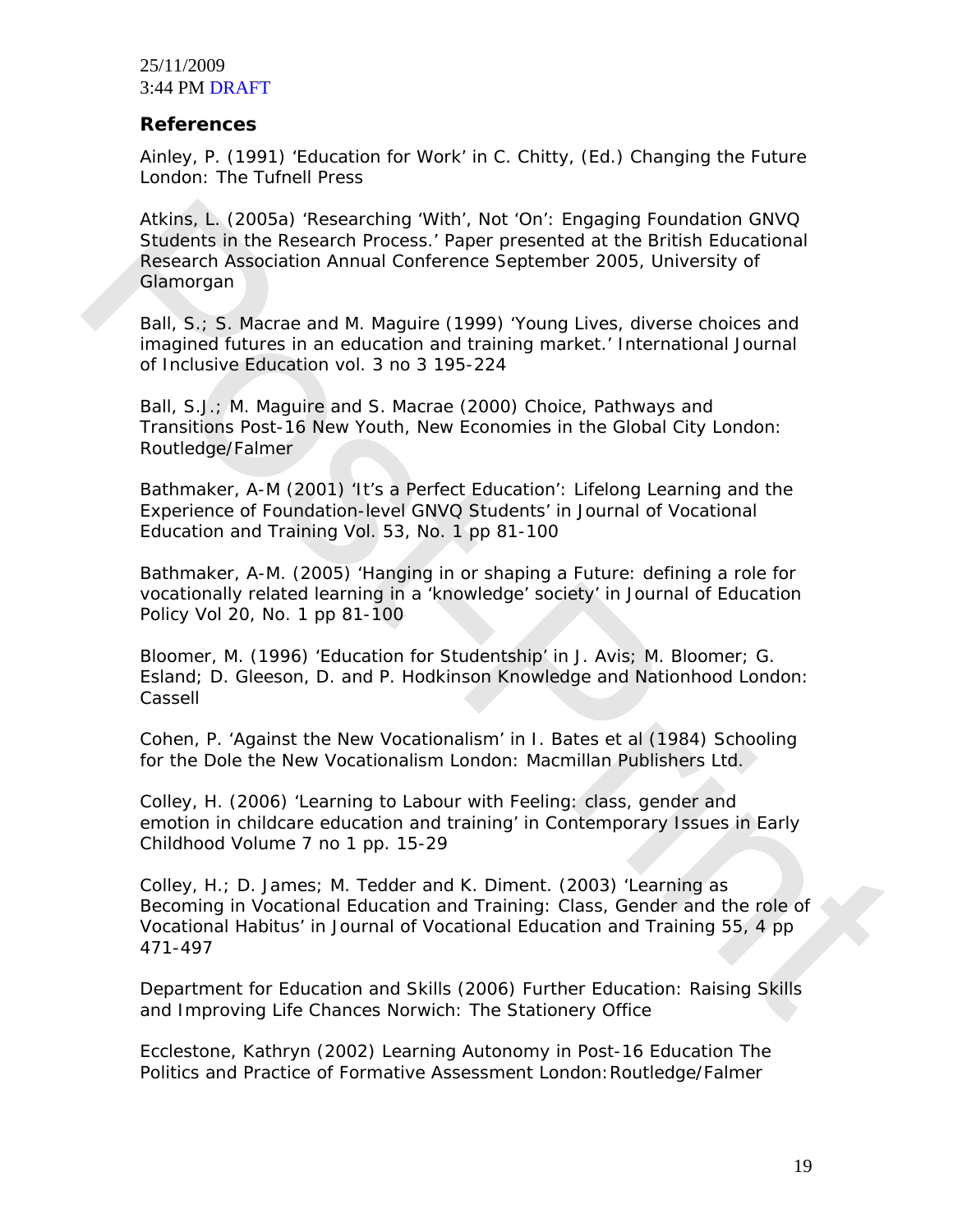#### 25/11/2009 3:44 PM DRAFT

## **References**

Ainley, P. (1991) 'Education for Work' in C. Chitty, (Ed.) *Changing the Future* London: The Tufnell Press

Atkins, L. (2005a) 'Researching 'With', Not 'On': Engaging Foundation GNVQ Students in the Research Process.' Paper presented at the *British Educational Research Association Annual Conference* September 2005, University of Glamorgan Alkins, 1. (2005a) "Researching "With", Not "On": Engaging Foundation GAVC)<br>Students in the Research Hosess: Paper presented at the *Brittah Educational*<br>Research Association Annual Conforence September 2005, University of

Ball, S.; S. Macrae and M. Maguire (1999) 'Young Lives, diverse choices and imagined futures in an education and training market.' *International Journal of Inclusive Education* vol. 3 no 3 195-224

Ball, S.J.; M. Maguire and S. Macrae (2000) *Choice, Pathways and Transitions Post-16 New Youth, New Economies in the Global City* London: Routledge/Falmer

Bathmaker, A-M (2001) 'It's a Perfect Education': Lifelong Learning and the Experience of Foundation-level GNVQ Students' in *Journal of Vocational Education and Training* Vol. 53, No. 1 pp 81-100

Bathmaker, A-M. (2005) 'Hanging in or shaping a Future: defining a role for vocationally related learning in a 'knowledge' society' in *Journal of Education Policy* Vol 20, No. 1 pp 81-100

Bloomer, M. (1996) 'Education for Studentship' in J. Avis; M. Bloomer; G. Esland; D. Gleeson, D. and P. Hodkinson *Knowledge and Nationhood* London: Cassell

Cohen, P. 'Against the New Vocationalism' in I. Bates et al (1984) *Schooling for the Dole the New Vocationalism* London: Macmillan Publishers Ltd.

Colley, H. (2006) 'Learning to Labour with Feeling: class, gender and emotion in childcare education and training' in *Contemporary Issues in Early Childhood* Volume 7 no 1 pp. 15-29

Colley, H.; D. James; M. Tedder and K. Diment. (2003) 'Learning as Becoming in Vocational Education and Training: Class, Gender and the role of Vocational Habitus' in *Journal of Vocational Education and Training* 55, 4 pp 471-497

Department for Education and Skills (2006) *Further Education: Raising Skills and Improving Life Chances Norwich: The Stationery Office*

Ecclestone, Kathryn (2002) *Learning Autonomy in Post-16 Education The Politics and Practice of Formative Assessment* London:Routledge/Falmer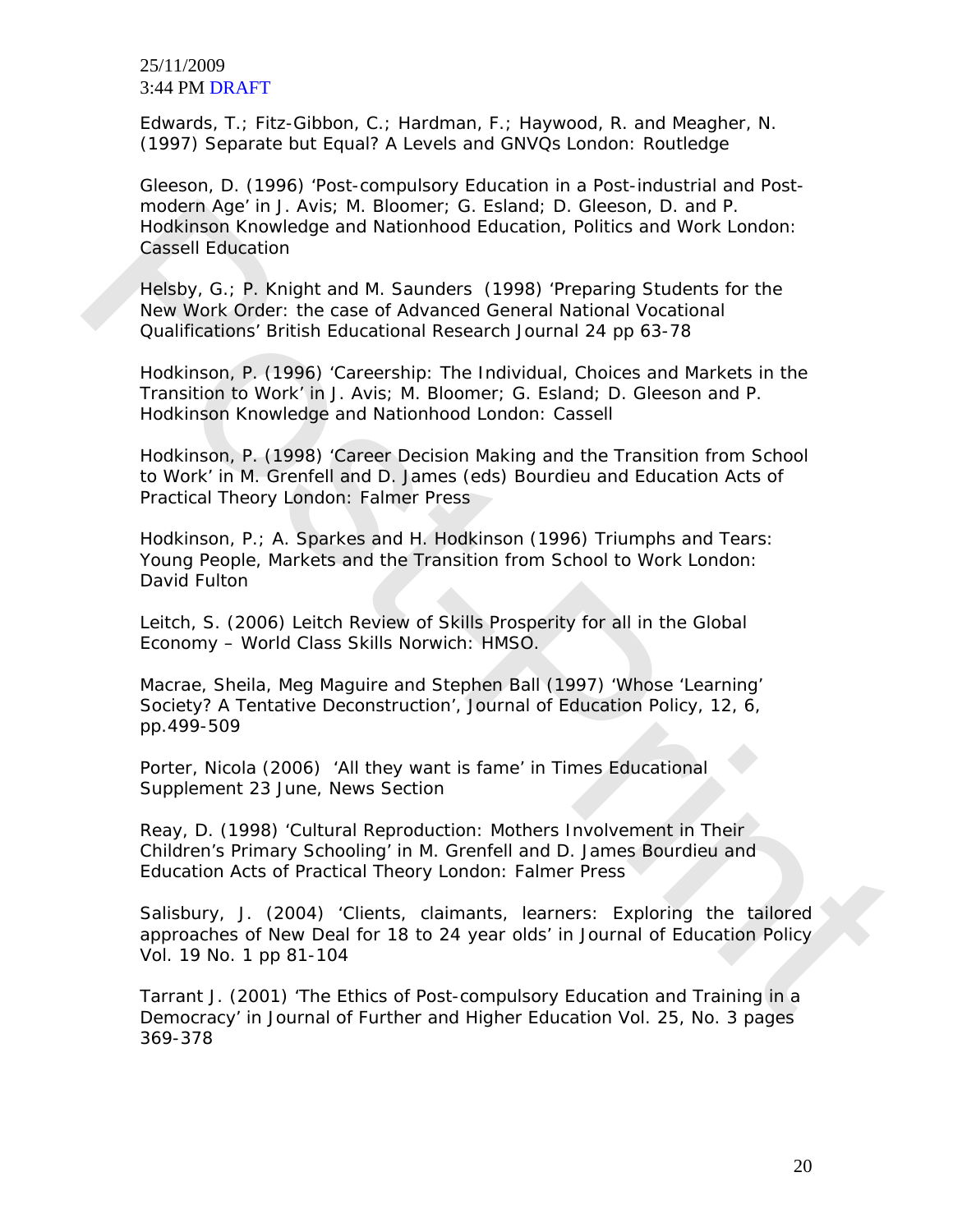25/11/2009 3:44 PM DRAFT

Edwards, T.; Fitz-Gibbon, C.; Hardman, F.; Haywood, R. and Meagher, N. (1997) *Separate but Equal? A Levels and GNVQs* London: Routledge

Gleeson, D. (1996) 'Post-compulsory Education in a Post-industrial and Postmodern Age' in J. Avis; M. Bloomer; G. Esland; D. Gleeson, D. and P. Hodkinson *Knowledge and Nationhood Education, Politics and Work* London: Cassell Education

Helsby, G.; P. Knight and M. Saunders (1998) 'Preparing Students for the New Work Order: the case of Advanced General National Vocational Qualifications' *British Educational Research Journal* 24 pp 63-78

Hodkinson, P. (1996) 'Careership: The Individual, Choices and Markets in the Transition to Work' in J. Avis; M. Bloomer; G. Esland; D. Gleeson and P. Hodkinson *Knowledge and Nationhood* London: Cassell

Hodkinson, P. (1998) 'Career Decision Making and the Transition from School to Work' in M. Grenfell and D. James (eds) *Bourdieu and Education Acts of Practical Theory* London: Falmer Press modern Age: in J. Avis: M. Bloomer: G. Esland: D. Glesson, D. and P.<br>Hodkinson Knowledge and Mationhood Education, Politics and Work London:<br>Cassell Education<br>Helsby, G. P. Knight and M. Saunders (1998) Proparing Students

Hodkinson, P.; A. Sparkes and H. Hodkinson (1996) *Triumphs and Tears: Young People, Markets and the Transition from School to Work* London: David Fulton

Leitch, S. (2006) *Leitch Review of Skills Prosperity for all in the Global Economy – World Class Skills* Norwich: HMSO.

Macrae, Sheila, Meg Maguire and Stephen Ball (1997) 'Whose 'Learning' Society? A Tentative Deconstruction', *Journal of Education Policy*, 12, 6, pp.499-509

Porter, Nicola (2006) 'All they want is fame' in *Times Educational Supplement* 23 June, News Section

Reay, D. (1998) 'Cultural Reproduction: Mothers Involvement in Their Children's Primary Schooling' in M. Grenfell and D. James *Bourdieu and Education Acts of Practical Theory* London: Falmer Press

Salisbury, J. (2004) 'Clients, claimants, learners: Exploring the tailored approaches of New Deal for 18 to 24 year olds' in *Journal of Education Policy*  Vol. 19 No. 1 pp 81-104

Tarrant J. (2001) 'The Ethics of Post-compulsory Education and Training in a Democracy' in *Journal of Further and Higher Education* Vol. 25, No. 3 pages 369-378